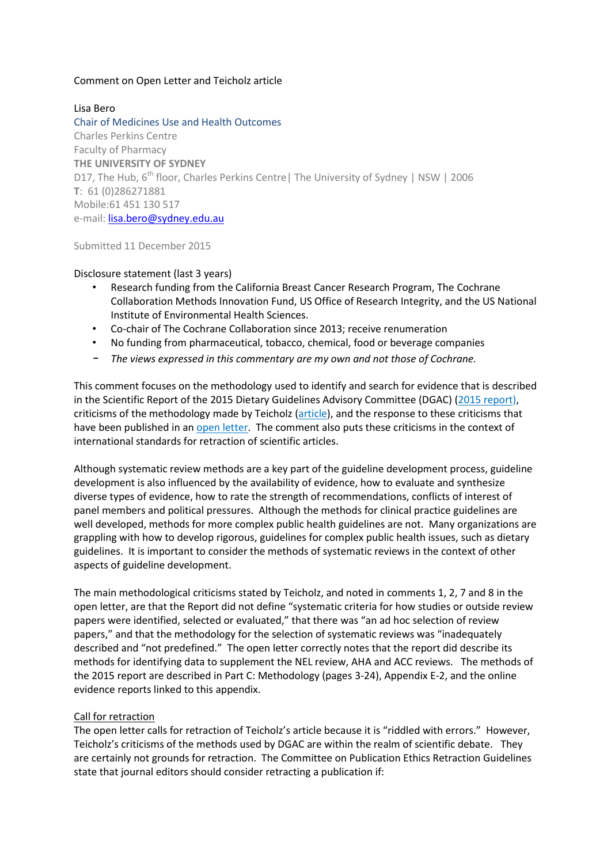### Comment on Open Letter and Teicholz article

## Lisa Bero

Chair of Medicines Use and Health Outcomes Charles Perkins Centre Faculty of Pharmacy **THE UNIVERSITY OF SYDNEY** D17, The Hub, 6<sup>th</sup> floor, Charles Perkins Centre | The University of Sydney | NSW | 2006 **T**: 61 (0)286271881 Mobile:61 451 130 517 e-mail: [lisa.bero@sydney.edu.au](mailto:lisa.bero@sydney.edu.au)

Submitted 11 December 2015

### Disclosure statement (last 3 years)

- Research funding from the California Breast Cancer Research Program, The Cochrane Collaboration Methods Innovation Fund, US Office of Research Integrity, and the US National Institute of Environmental Health Sciences.
- Co-chair of The Cochrane Collaboration since 2013; receive renumeration
- No funding from pharmaceutical, tobacco, chemical, food or beverage companies
- *– The views expressed in this commentary are my own and not those of Cochrane.*

This comment focuses on the methodology used to identify and search for evidence that is described in the Scientific Report of the 2015 Dietary Guidelines Advisory Committee (DGAC) [\(2015 report\)](http://health.gov/dietaryguidelines/2015-scientific-report/PDFs/Scientific-Report-of-the-2015-Dietary-Guidelines-Advisory-Committee.pdf), criticisms of the methodology made by Teicholz [\(article\)](http://www.bmj.com/content/351/bmj.h4962), and the response to these criticisms that have been published in an [open letter.](http://cspinet.org/bmj-retraction-letter.html) The comment also puts these criticisms in the context of international standards for retraction of scientific articles.

Although systematic review methods are a key part of the guideline development process, guideline development is also influenced by the availability of evidence, how to evaluate and synthesize diverse types of evidence, how to rate the strength of recommendations, conflicts of interest of panel members and political pressures. Although the methods for clinical practice guidelines are well developed, methods for more complex public health guidelines are not. Many organizations are grappling with how to develop rigorous, guidelines for complex public health issues, such as dietary guidelines. It is important to consider the methods of systematic reviews in the context of other aspects of guideline development.

The main methodological criticisms stated by Teicholz, and noted in comments 1, 2, 7 and 8 in the open letter, are that the Report did not define "systematic criteria for how studies or outside review papers were identified, selected or evaluated," that there was "an ad hoc selection of review papers," and that the methodology for the selection of systematic reviews was "inadequately described and "not predefined." The open letter correctly notes that the report did describe its methods for identifying data to supplement the NEL review, AHA and ACC reviews. The methods of the 2015 report are described in Part C: Methodology (pages 3-24), Appendix E-2, and the online evidence reports linked to this appendix.

### Call for retraction

The open letter calls for retraction of Teicholz's article because it is "riddled with errors." However, Teicholz's criticisms of the methods used by DGAC are within the realm of scientific debate. They are certainly not grounds for retraction. The Committee on Publication Ethics Retraction Guidelines state that journal editors should consider retracting a publication if: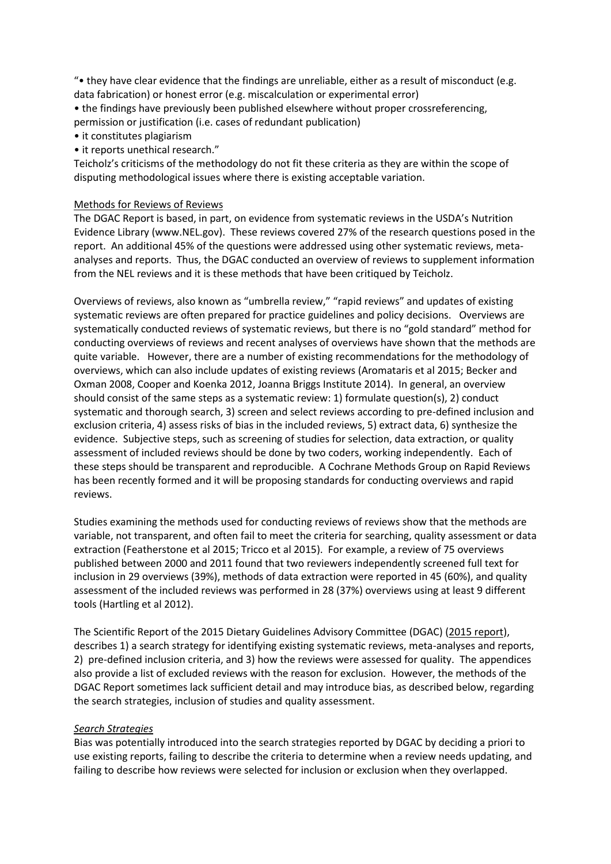"• they have clear evidence that the findings are unreliable, either as a result of misconduct (e.g. data fabrication) or honest error (e.g. miscalculation or experimental error)

• the findings have previously been published elsewhere without proper crossreferencing, permission or justification (i.e. cases of redundant publication)

- it constitutes plagiarism
- it reports unethical research."

Teicholz's criticisms of the methodology do not fit these criteria as they are within the scope of disputing methodological issues where there is existing acceptable variation.

#### Methods for Reviews of Reviews

The DGAC Report is based, in part, on evidence from systematic reviews in the USDA's Nutrition Evidence Library (www.NEL.gov). These reviews covered 27% of the research questions posed in the report. An additional 45% of the questions were addressed using other systematic reviews, metaanalyses and reports. Thus, the DGAC conducted an overview of reviews to supplement information from the NEL reviews and it is these methods that have been critiqued by Teicholz.

Overviews of reviews, also known as "umbrella review," "rapid reviews" and updates of existing systematic reviews are often prepared for practice guidelines and policy decisions. Overviews are systematically conducted reviews of systematic reviews, but there is no "gold standard" method for conducting overviews of reviews and recent analyses of overviews have shown that the methods are quite variable. However, there are a number of existing recommendations for the methodology of overviews, which can also include updates of existing reviews (Aromataris et al 2015; Becker and Oxman 2008, Cooper and Koenka 2012, Joanna Briggs Institute 2014). In general, an overview should consist of the same steps as a systematic review: 1) formulate question(s), 2) conduct systematic and thorough search, 3) screen and select reviews according to pre-defined inclusion and exclusion criteria, 4) assess risks of bias in the included reviews, 5) extract data, 6) synthesize the evidence. Subjective steps, such as screening of studies for selection, data extraction, or quality assessment of included reviews should be done by two coders, working independently. Each of these steps should be transparent and reproducible. A Cochrane Methods Group on Rapid Reviews has been recently formed and it will be proposing standards for conducting overviews and rapid reviews.

Studies examining the methods used for conducting reviews of reviews show that the methods are variable, not transparent, and often fail to meet the criteria for searching, quality assessment or data extraction (Featherstone et al 2015; Tricco et al 2015). For example, a review of 75 overviews published between 2000 and 2011 found that two reviewers independently screened full text for inclusion in 29 overviews (39%), methods of data extraction were reported in 45 (60%), and quality assessment of the included reviews was performed in 28 (37%) overviews using at least 9 different tools (Hartling et al 2012).

The Scientific Report of the 2015 Dietary Guidelines Advisory Committee (DGAC) [\(2015 report\)](http://health.gov/dietaryguidelines/2015-scientific-report/PDFs/Scientific-Report-of-the-2015-Dietary-Guidelines-Advisory-Committee.pdf), describes 1) a search strategy for identifying existing systematic reviews, meta-analyses and reports, 2) pre-defined inclusion criteria, and 3) how the reviews were assessed for quality. The appendices also provide a list of excluded reviews with the reason for exclusion. However, the methods of the DGAC Report sometimes lack sufficient detail and may introduce bias, as described below, regarding the search strategies, inclusion of studies and quality assessment.

#### *Search Strategies*

Bias was potentially introduced into the search strategies reported by DGAC by deciding a priori to use existing reports, failing to describe the criteria to determine when a review needs updating, and failing to describe how reviews were selected for inclusion or exclusion when they overlapped.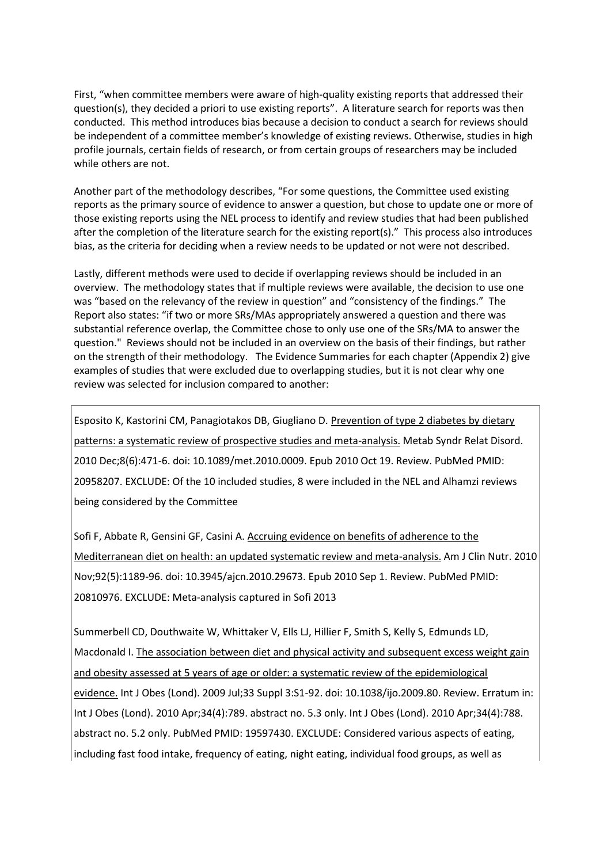First, "when committee members were aware of high-quality existing reports that addressed their question(s), they decided a priori to use existing reports". A literature search for reports was then conducted. This method introduces bias because a decision to conduct a search for reviews should be independent of a committee member's knowledge of existing reviews. Otherwise, studies in high profile journals, certain fields of research, or from certain groups of researchers may be included while others are not.

Another part of the methodology describes, "For some questions, the Committee used existing reports as the primary source of evidence to answer a question, but chose to update one or more of those existing reports using the NEL process to identify and review studies that had been published after the completion of the literature search for the existing report(s)." This process also introduces bias, as the criteria for deciding when a review needs to be updated or not were not described.

Lastly, different methods were used to decide if overlapping reviews should be included in an overview. The methodology states that if multiple reviews were available, the decision to use one was "based on the relevancy of the review in question" and "consistency of the findings." The Report also states: "if two or more SRs/MAs appropriately answered a question and there was substantial reference overlap, the Committee chose to only use one of the SRs/MA to answer the question." Reviews should not be included in an overview on the basis of their findings, but rather on the strength of their methodology. The Evidence Summaries for each chapter (Appendix 2) give examples of studies that were excluded due to overlapping studies, but it is not clear why one review was selected for inclusion compared to another:

Esposito K, Kastorini CM, Panagiotakos DB, Giugliano D. [Prevention of type 2 diabetes by dietary](http://www.ncbi.nlm.nih.gov/pubmed/20958207)  [patterns: a systematic review of prospective studies and meta-analysis.](http://www.ncbi.nlm.nih.gov/pubmed/20958207) Metab Syndr Relat Disord. 2010 Dec;8(6):471-6. doi: 10.1089/met.2010.0009. Epub 2010 Oct 19. Review. PubMed PMID: 20958207. EXCLUDE: Of the 10 included studies, 8 were included in the NEL and Alhamzi reviews being considered by the Committee

Sofi F, Abbate R, Gensini GF, Casini A. [Accruing evidence on benefits of adherence to the](http://www.ncbi.nlm.nih.gov/pubmed/20810976)  [Mediterranean diet on health: an updated systematic review and meta-analysis.](http://www.ncbi.nlm.nih.gov/pubmed/20810976) Am J Clin Nutr. 2010 Nov;92(5):1189-96. doi: 10.3945/ajcn.2010.29673. Epub 2010 Sep 1. Review. PubMed PMID: 20810976. EXCLUDE: Meta-analysis captured in Sofi 2013

Summerbell CD, Douthwaite W, Whittaker V, Ells LJ, Hillier F, Smith S, Kelly S, Edmunds LD, Macdonald I. The association between diet and physical activity and subsequent excess weight gain [and obesity assessed at 5 years of age or older: a systematic review of the epidemiological](http://www.ncbi.nlm.nih.gov/pubmed/19597430)  [evidence.](http://www.ncbi.nlm.nih.gov/pubmed/19597430) Int J Obes (Lond). 2009 Jul;33 Suppl 3:S1-92. doi: 10.1038/ijo.2009.80. Review. Erratum in: Int J Obes (Lond). 2010 Apr;34(4):789. abstract no. 5.3 only. Int J Obes (Lond). 2010 Apr;34(4):788. abstract no. 5.2 only. PubMed PMID: 19597430. EXCLUDE: Considered various aspects of eating, including fast food intake, frequency of eating, night eating, individual food groups, as well as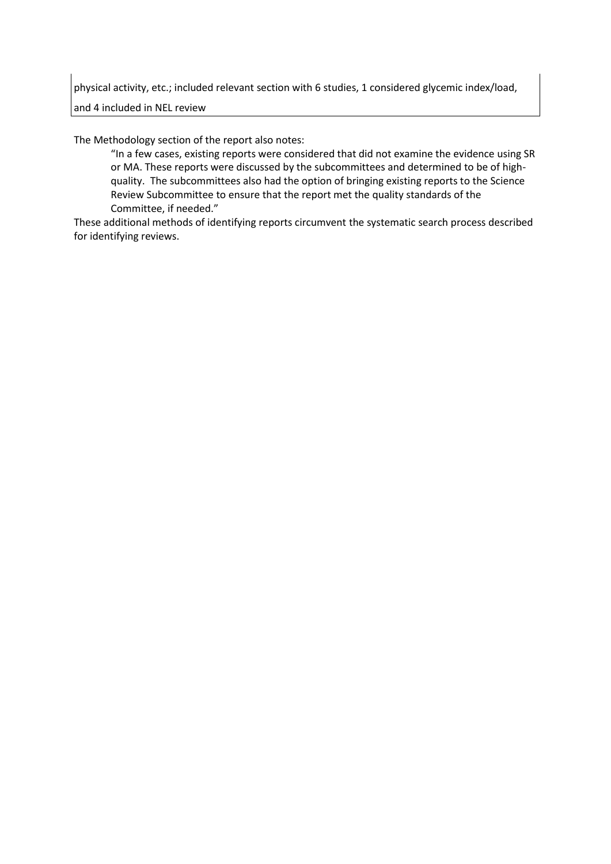physical activity, etc.; included relevant section with 6 studies, 1 considered glycemic index/load,

and 4 included in NEL review

The Methodology section of the report also notes:

"In a few cases, existing reports were considered that did not examine the evidence using SR or MA. These reports were discussed by the subcommittees and determined to be of highquality. The subcommittees also had the option of bringing existing reports to the Science Review Subcommittee to ensure that the report met the quality standards of the Committee, if needed."

These additional methods of identifying reports circumvent the systematic search process described for identifying reviews.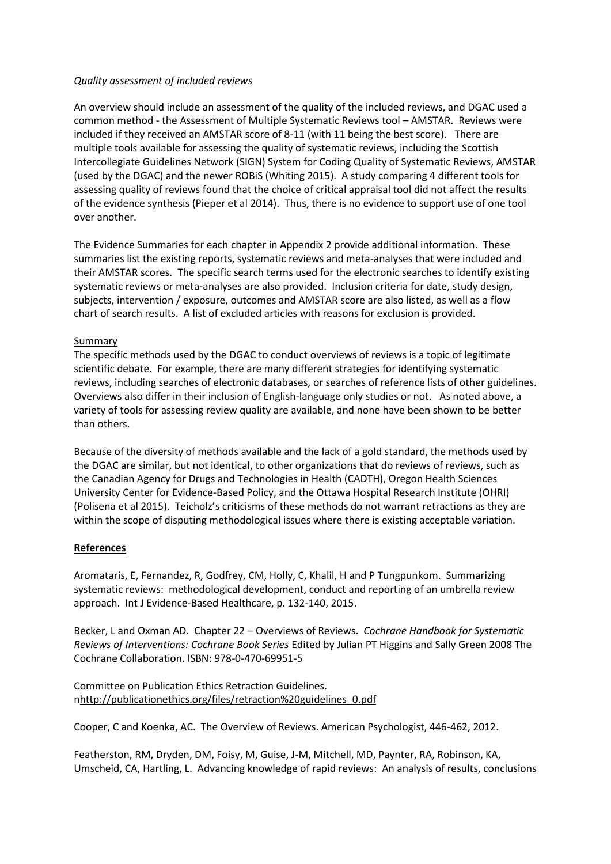## *Quality assessment of included reviews*

An overview should include an assessment of the quality of the included reviews, and DGAC used a common method - the Assessment of Multiple Systematic Reviews tool – AMSTAR. Reviews were included if they received an AMSTAR score of 8-11 (with 11 being the best score). There are multiple tools available for assessing the quality of systematic reviews, including the Scottish Intercollegiate Guidelines Network (SIGN) System for Coding Quality of Systematic Reviews, AMSTAR (used by the DGAC) and the newer ROBiS (Whiting 2015). A study comparing 4 different tools for assessing quality of reviews found that the choice of critical appraisal tool did not affect the results of the evidence synthesis (Pieper et al 2014). Thus, there is no evidence to support use of one tool over another.

The Evidence Summaries for each chapter in Appendix 2 provide additional information. These summaries list the existing reports, systematic reviews and meta-analyses that were included and their AMSTAR scores. The specific search terms used for the electronic searches to identify existing systematic reviews or meta-analyses are also provided. Inclusion criteria for date, study design, subjects, intervention / exposure, outcomes and AMSTAR score are also listed, as well as a flow chart of search results. A list of excluded articles with reasons for exclusion is provided.

## Summary

The specific methods used by the DGAC to conduct overviews of reviews is a topic of legitimate scientific debate. For example, there are many different strategies for identifying systematic reviews, including searches of electronic databases, or searches of reference lists of other guidelines. Overviews also differ in their inclusion of English-language only studies or not. As noted above, a variety of tools for assessing review quality are available, and none have been shown to be better than others.

Because of the diversity of methods available and the lack of a gold standard, the methods used by the DGAC are similar, but not identical, to other organizations that do reviews of reviews, such as the Canadian Agency for Drugs and Technologies in Health (CADTH), Oregon Health Sciences University Center for Evidence-Based Policy, and the Ottawa Hospital Research Institute (OHRI) (Polisena et al 2015). Teicholz's criticisms of these methods do not warrant retractions as they are within the scope of disputing methodological issues where there is existing acceptable variation.

# **References**

Aromataris, E, Fernandez, R, Godfrey, CM, Holly, C, Khalil, H and P Tungpunkom. Summarizing systematic reviews: methodological development, conduct and reporting of an umbrella review approach. Int J Evidence-Based Healthcare, p. 132-140, 2015.

Becker, L and Oxman AD. Chapter 22 – Overviews of Reviews. *Cochrane Handbook for Systematic Reviews of Interventions: Cochrane Book Series* Edited by Julian PT Higgins and Sally Green 2008 The Cochrane Collaboration. ISBN: 978-0-470-69951-5

Committee on Publication Ethics Retraction Guidelines. [nhttp://publicationethics.org/files/retraction%20guidelines\\_0.pdf](http://publicationethics.org/files/retraction%20guidelines_0.pdf)

Cooper, C and Koenka, AC. The Overview of Reviews. American Psychologist, 446-462, 2012.

Featherston, RM, Dryden, DM, Foisy, M, Guise, J-M, Mitchell, MD, Paynter, RA, Robinson, KA, Umscheid, CA, Hartling, L. Advancing knowledge of rapid reviews: An analysis of results, conclusions